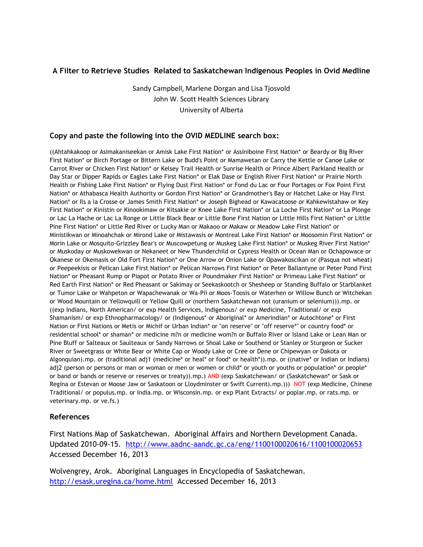# **A Filter to Retrieve Studies Related to Saskatchewan Indigenous Peoples in Ovid Medline**

Sandy Campbell, Marlene Dorgan and Lisa Tjosvold John W. Scott Health Sciences Library University of Alberta

### **Copy and paste the following into the OVID MEDLINE search box:**

((Ahtahkakoop or Asimakaniseekan or Amisk Lake First Nation\* or Assiniboine First Nation\* or Beardy or Big River First Nation\* or Birch Portage or Bittern Lake or Budd's Point or Mamawetan or Carry the Kettle or Canoe Lake or Carrot River or Chicken First Nation\* or Kelsey Trail Health or Sunrise Health or Prince Albert Parkland Health or Day Star or Dipper Rapids or Eagles Lake First Nation\* or Elak Dase or English River First Nation\* or Prairie North Health or Fishing Lake First Nation\* or Flying Dust First Nation\* or Fond du Lac or Four Portages or Fox Point First Nation\* or Athabasca Health Authority or Gordon First Nation\* or Grandmother's Bay or Hatchet Lake or Hay First Nation\* or Ils a la Crosse or James Smith First Nation\* or Joseph Bighead or Kawacatoose or Kahkewistahaw or Key First Nation\* or Kinistin or Kinookimaw or Kitsakie or Knee Lake First Nation\* or La Loche First Nation\* or La Plonge or Lac La Hache or Lac La Ronge or Little Black Bear or Little Bone First Nation or Little Hills First Nation\* or Little Pine First Nation\* or Little Red River or Lucky Man or Makaoo or Makaw or Meadow Lake First Nation\* or Ministikwan or Minoahchak or Mirond Lake or Mistawasis or Montreal Lake First Nation\* or Moosomin First Nation\* or Morin Lake or Mosquito-Grizzley Bear's or Muscowpetung or Muskeg Lake First Nation\* or Muskeg River First Nation\* or Muskoday or Muskowekwan or Nekaneet or New Thunderchild or Cypress Health or Ocean Man or Ochapowace or Okanese or Okemasis or Old Fort First Nation\* or One Arrow or Onion Lake or Opawakoscikan or (Pasqua not wheat) or Peepeekisis or Pelican Lake First Nation\* or Pelican Narrows First Nation\* or Peter Ballantyne or Peter Pond First Nation\* or Pheasant Rump or Piapot or Potato River or Poundmaker First Nation\* or Primeau Lake First Nation\* or Red Earth First Nation\* or Red Pheasant or Sakimay or Seekaskootch or Shesheep or Standing Buffalo or Starblanket or Tumor Lake or Wahpeton or Wapachewanak or Wa-Pii or Moos-Toosis or Waterhen or Willow Bunch or Witchekan or Wood Mountain or Yellowquill or Yellow Quill or (northern Saskatchewan not (uranium or selenium))).mp. or ((exp Indians, North American/ or exp Health Services, Indigenous/ or exp Medicine, Traditional/ or exp Shamanism/ or exp Ethnopharmacology/ or (Indigenous\* or Aboriginal\* or Amerindian\* or Autochtone\* or First Nation or First Nations or Metis or Michif or Urban Indian\* or "on reserve" or "off reserve\*" or country food\* or residential school\* or shaman\* or medicine m?n or medicine wom?n or Buffalo River or Island Lake or Lean Man or Pine Bluff or Salteaux or Saulteaux or Sandy Narrows or Shoal Lake or Southend or Stanley or Sturgeon or Sucker River or Sweetgrass or White Bear or White Cap or Woody Lake or Cree or Dene or Chipewyan or Dakota or Algonquian).mp. or (traditional adj1 (medicine\* or heal\* or food\* or health\*)).mp. or ((native\* or Indian or Indians) adj2 (person or persons or man or woman or men or women or child\* or youth or youths or population\* or people\* or band or bands or reserve or reserves or treaty)).mp.) AND (exp Saskatchewan/ or (Saskatchewan\* or Sask or Regina or Estevan or Moose Jaw or Saskatoon or Lloydminster or Swift Current).mp.))) NOT (exp Medicine, Chinese Traditional/ or populus.mp. or India.mp. or Wisconsin.mp. or exp Plant Extracts/ or poplar.mp. or rats.mp. or veterinary.mp. or ve.fs.)

#### **References**

First Nations Map of Saskatchewan. Aboriginal Affairs and Northern Development Canada. Updated 2010-09-15. <http://www.aadnc-aandc.gc.ca/eng/1100100020616/1100100020653> Accessed December 16, 2013

Wolvengrey, Arok. Aboriginal Languages in Encyclopedia of Saskatchewan. <http://esask.uregina.ca/home.html>Accessed December 16, 2013